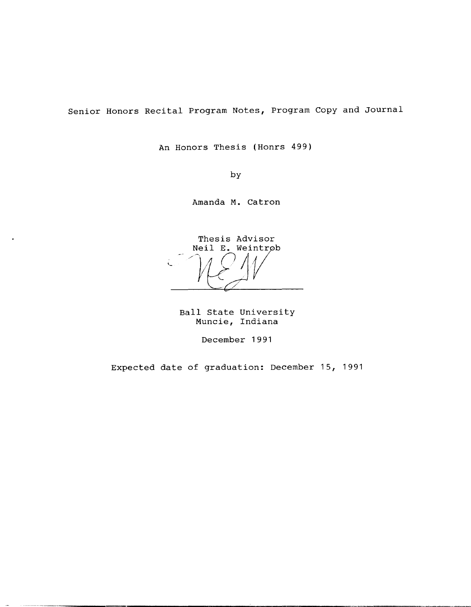Senior Honors Recital Program Notes, Program Copy and Journal

An Honors Thesis (Honrs 499)

by

Amanda **M.** Catron

'- Thesis Advisor<br>Neil E. Weintrøb  $V\rightarrow V$ 

Ball State University Muncie, Indiana

December 1991

Expected date of graduation: December 15, 1991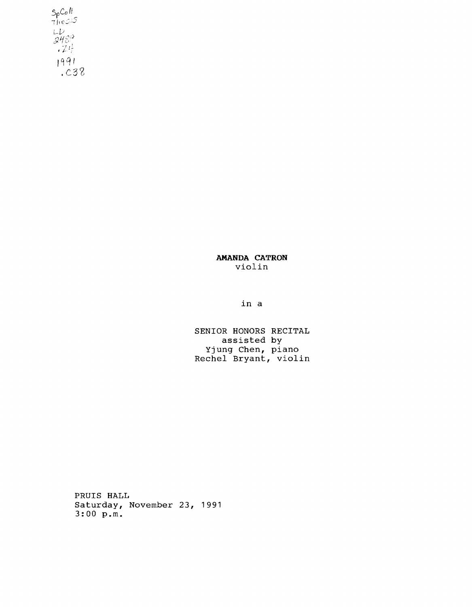$7h$ esis $^{-}$ 1991  $\frac{1}{2}$ .

> **AMANDA CATRON**  violin

> > in a

SENIOR HONORS RECITAL assisted by Yjung Chen, piano Rechel Bryant, violin

PRUIS HALL Saturday, November 23, 1991 3:00 **p.m.**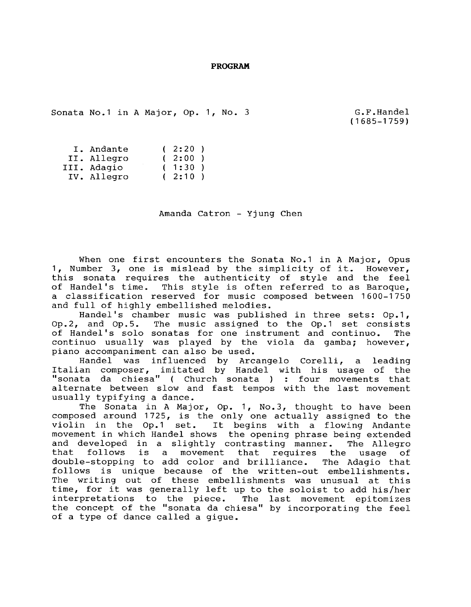**PROGRAM** 

Sonata No.1 in A Major, Op. 1, No. 3

G.F.Handel (1685-1759)

| I. Andante  | (2:20) |  |
|-------------|--------|--|
| II. Allegro | (2:00) |  |
| III. Adagio | (1:30) |  |
| IV. Allegro | (2:10) |  |

Amanda Catron - Yjung Chen

When one first encounters the Sonata No.1 in A Major, Opus 1, Number 3, one is mislead by the simplicity of it. However, this sonata requires the authenticity of style and the feel of Handel's time. This style is often referred to as Baroque, a classification reserved for music composed between 1600-1750 and full of highly embellished melodies.

Handel's chamber music was published in three sets: Op.1, Op.2, and Op.5. The music assigned to the Op.1 set consists of Handel's solo sonatas for one instrument and continuo. The continuo usually was played by the viola da gamba; however, piano accompaniment can also be used.

Handel was influenced by Arcangelo Corelli, a leading Italian composer, imitated by Handel with his usage of the "sonata da chiesa" ( Church sonata ) : four movements that alternate between slow and fast tempos with the last movement usually typifying a dance.

The Sonata in A Major, Op. 1, No.3, thought to have been composed around 1725, is the only one actually assigned to the composed around 1725, is the only one actually assigned to the<br>violin in the Op.1 set. It begins with a flowing Andante movement in which Handel shows the opening phrase being extended and developed in a slightly contrasting manner. The Allegro follows is a movement that requires the usage of double-stopping to add color and brilliance. The Adagio that follows is unique because of the written-out embellishments. The writing out of these embellishments was unusual at this time, for it was generally left up to the soloist to add his/her interpretations to the piece. The last movement epitomizes the concept of the "sonata da chiesa" by incorporating the feel of a type of dance called a gigue.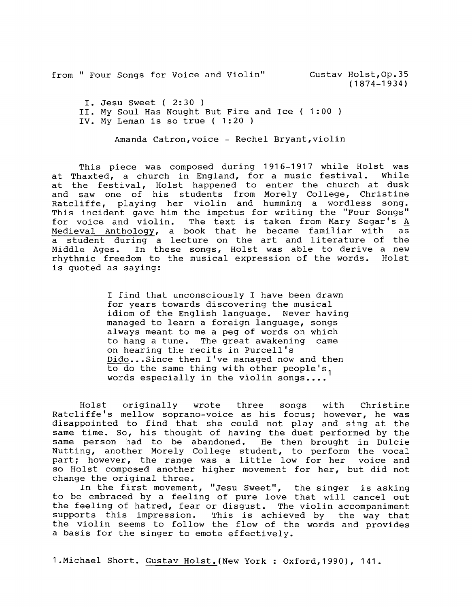from " Four Songs for Voice and Violin" Gustav Holst,Op.35

(1874-1934)

I. Jesu Sweet ( 2:30 )

II. My Soul Has Nought But Fire and Ice ( 1:00 )

IV. My Leman is so true ( 1:20 )

Amanda Catron, voice - Rechel Bryant, violin

This piece was composed during 1916-1917 while Holst was at Thaxted, a church in England, for a music festival. at the festival, Holst happened to enter the church at dusk and saw one of his students from Morely College, Christine Ratcliffe, playing her violin and humming a wordless song. This incident gave him the impetus for writing the "Four Songs" for voice and violin. The text is taken from Mary Segar's A Medieval Anthology, a book that he became familiar with as a student during a lecture on the art and literature of the Middle Ages. In these songs, Holst was able to derive a new rhythmic freedom to the musical expression of the words. Holst is quoted as saying:

> I find that unconsciously I have been drawn for years towards discovering the musical idiom of the English language. Never having managed to learn a foreign language, songs always meant to me a peg of words on which to hang a tune. The great awakening came on hearing the recits in Purcell's Dido...Since then I've managed now and then to do the same thing with other people's, words especially in the violin songs....

Holst originally wrote three songs with Christine Ratcliffe's mellow soprano-voice as his focus; however, he was disappointed to find that she could not play and sing at the same time. So, his thought of having the duet performed by the same person had to be abandoned. He then brought in Dulcie Nutting, another Morely College student, to perform the vocal part; however, the range was a little low for her voice and so Holst composed another higher movement for her, but did not change the original three.

In the first movement, "Jesu Sweet", the singer is asking to be embraced by a feeling of pure love that will cancel out the feeling of hatred, fear or disgust. The violin accompaniment supports this impression. This is achieved by the way that the violin seems to follow the flow of the words and provides a basis for the singer to emote effectively.

1.Michael Short. Gustav Holst. (New York : Oxford, 1990), 141.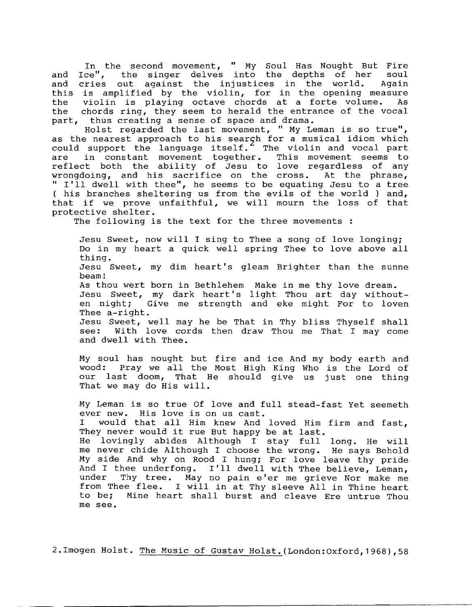In the second movement, " My Soul Has Nought But Fire and Ice", the singer delves into the depths of her soul and cries out against the injustices in the world. Again this is amplified by the violin, for in the opening measure the the violin is playing octave chords at a forte volume. As chords ring, they seem to herald the entrance of the vocal part, thus creating a sense of space and drama.

Holst regarded the last movement, " My Leman is so true", as the nearest approach to his search for a musical idiom which could support the language itself.<sup>2</sup> The violin and vocal part<br>are in constant movement together. This movement seems to in constant movement together. reflect both the ability of Jesu to love regardless of any<br>wrongdoing, and his sacrifice on the cross. At the phrase, wrongdoing, and his sacrifice on the cross. " I'll dwell with thee", he seems to be equating Jesu to a tree ( his branches sheltering us from the evils of the world ) and, that if we prove unfaithful, we will mourn the loss of that protective shelter.

The following is the text for the three movements :

Jesu Sweet, now will I sing to Thee a song of love longing; Do in my heart a quick well spring Thee to love above all thing. Jesu Sweet, my dim heart's gleam Brighter than the sunne beam! As thou wert born in Bethlehem Make in me thy love dream. 15 the a were born in Beenrehem have in me enj love dream.<br>Jesu Sweet, my dark heart's light Thou art day withouten night; Give me strength and eke might For to loven Thee a-right. Jesu Sweet, well may he be That in Thy bliss Thyself shall With love cords then draw Thou me That I may come and dwell with Thee.

My soul has nought but fire and ice And my body earth and wood: Pray we all the Most High King Who is the Lord of our last doom, That He should give us just one thing That we may do His will.

My Leman is so true Of love and full stead-fast Yet seemeth ever new. His love is on us cast. I would that all Him knew And loved Him firm and fast, They never would it rue But happy be at last. He lovingly abides Although I stay full long. He will me never chide Although I choose the wrong. He says Behold My side And why on Rood I hung; For love leave thy pride And I thee underfong. I'll dwell with Thee believe, Leman,<br>under Thy tree. May no pain e'er me grieve Nor make me Thy tree. May no pain e'er me grieve Nor make me from Thee flee. I will in at Thy sleeve All in Thine heart<br>to be: Mine heart shall burst and cleave Ere untrue Thou Mine heart shall burst and cleave Ere untrue Thou me see.

2.Imogen Holst. The Music of Gustav Holst. (London:Oxford,1968),58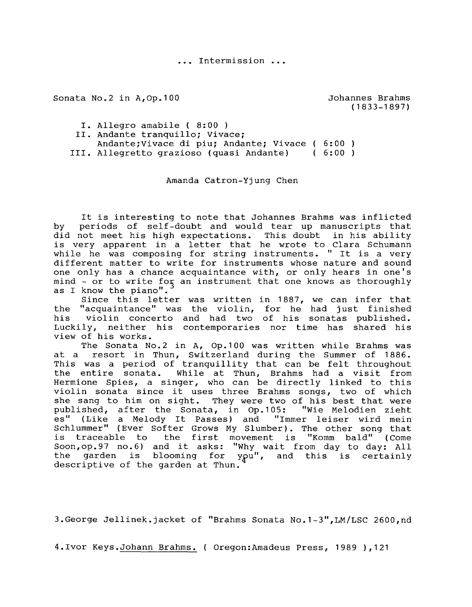••• Intermission •••

Sonata No.2 in A,Op.100

Johannes Brahms (1833-1897)

I. Allegro amabile ( 8:00 )

II. Andante tranquillo; Vivace;

Andante;Vivace di piu; Andante; Vivace 6:00

III. Allegretto grazioso (quasi Andante) 6:00

Amanda Catron-Yjung Chen

It is interesting to note that Johannes Brahms was inflicted by periods of self-doubt and would tear up manuscripts that did not meet his high expectations. This doubt in his ability is very apparent in a letter that he wrote to Clara Schumann while he was composing for string instruments. " It is a very different matter to write for instruments whose nature and sound one only has a chance acquaintance with, or only hears in one's  $mind - or to write for an instrument that one knows as thoroughly$ as I know the piano".

Since this letter was written in 1887, we can infer that the "acquaintance" was the violin, for he had just finished his violin concerto and had two of his sonatas published. Luckily, neither his contemporaries nor time has shared his view of his works.

The Sonata No.2 in A, Op.100 was written while Brahms was at a resort in Thun, Switzerland during the Summer of 1886. This was a period of tranquillity that can be felt throughout the entire sonata. While at Thun, Brahms had a visit from Hermione Spies, a singer, who can be directly linked to this violin sonata since it uses three Brahms songs, two of which she sang to him on sight. They were two of his best that were published, after the Sonata, in Op.105: "Wie Melodien zieht es" (Like a Melody It Passes) and "Immer leiser wird mein Schlummer" (Ever Softer Grows My Slumber). The other song that is traceable to the first movement is "Komm bald" (Come Soon, op. 97 no. 6) and it asks: "Why wait from day to day: All the garden is blooming for you", and this is certainly descriptive of the garden at Thun.

3.George Jellinek.jacket of "Brahms Sonata No.1-3",LM/LSC 2600,nd

4.Ivor Keys.Johann Brahms. ( Oregon:Amadeus Press, 1989 ),121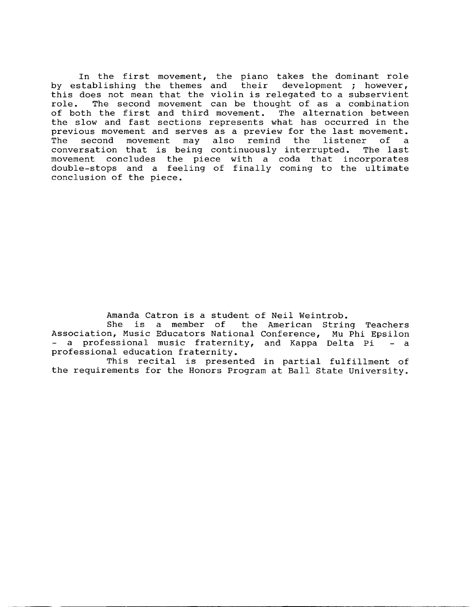In the first movement, the piano takes the dominant role by establishing the themes and their development; however, this does not mean that the violin is relegated to a subservient role. The second movement can be thought of as a combination of both the first and third movement. The alternation between the slow and fast sections represents what has occurred in the previous movement and serves as a preview for the last movement. The second movement may also remind the listener of a conversation that is being continuously interrupted. The last movement concludes the piece with a coda that incorporates double-stops and a feeling of finally coming to the ultimate conclusion of the piece.

Amanda Catron is a student of Neil Weintrob.<br>She is a member of the American Strin

is a member of the American String Teachers Association, Music Educators National Conference, Mu Phi Epsilon - a professional music fraternity, and Kappa Delta Pi - a professional education fraternity.

This recital is presented in partial fulfillment of the requirements for the Honors Program at Ball State University.

---------------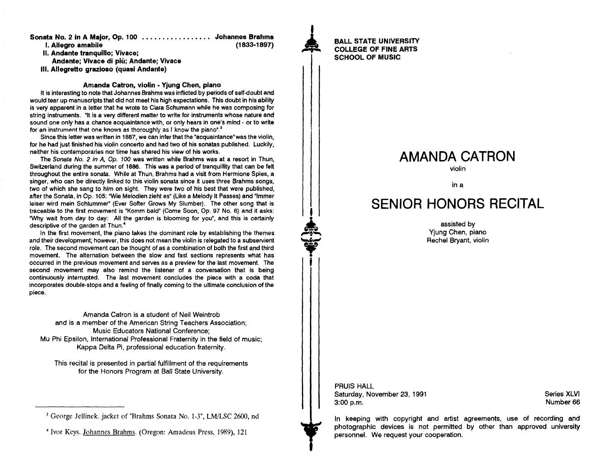Sonata No. 2 in A Major, Op. 100 ................Johannes Brahm<mark>s</mark>

I. Allegro amabile

II. Andante tranquillo: Vivace:

Andante; Vivace di piu; Andante; Vivace

III. Allegretto grazioso (quasi Andante)

### Amanda Catron, violin - Yjung Chen, piano

It is interesting to note that Johannes Brahms was inflicted by periods of self-doubt and would tear up manuscripts that did not meet his high expectations. This doubt in his ability is very apparent in a letter that he wrote to Clara Schumann while he was composing for string instruments. "It is a very different matter to write for instruments whose nature and sound one only has a chance acquaintance with, or only hears in one's mind - or to write for an instrument that one knows as thoroughly as I know the piano".<sup>3</sup>

Since this letter was written in 1887, we can infer that the "acquaintance" was the violin, for he had just finished his violin concerto and had two of his sonatas published. Luckily, neither his contemporaries nor time has shared his view of his works.

The Sonata No. 2 in A. Op. 100 was written while Brahms was at a resort in Thun, Switzerland during the summer of 1886. This was a period of tranquillity that can be felt throughout the entire sonata. While at Thun, Brahms had a visit from Hermione Spies, a singer, who can be directly linked to this violin sonata since it uses three Brahms songs, two of which she sang to him on sight. They were two of his best that were published, after the Sonata, in Op. 105: "Wie Melodien zieht es" (Like a Melody It Passes) and "1m mer leiser wird mein Schlummer" (Ever Softer Grows My Slumber). The other song that is traceable to the first movement is "Komm bald" (Come Soon, Op. 97 No.6) and it asks: 'Why wait from day to day: All the garden is blooming for you", and this is certainly descriptive of the garden at Thun.<sup>4</sup>

In the first movement, the piano takes the dominant role by establishing the themes and their development; however, this does not mean the violin is relegated to a subservient role. The second movement can be thought of as a combination of both the first and third movement. The alternation between the slow and fast sections represents what has occurred in the previous movement and serves as a preview for the last movement. The second movement may also remind the listener of a conversation that is being continuously interrupted. The last movement concludes the piece with a coda that incorporates double-stops and a feeling of finally coming to the ultimate conclusion of the piece.

Amanda Catron is a student of Neil Weintrob and is a member of the American String Teachers Association; Music Educators National Conference; Mu Phi Epsilon, International Professional Fraternity in the field of music; Kappa Delta Pi, professional education fraternity.

This recital is presented in partial fulfillment of the requirements for the Honors Program at Ball State University.

I **1944** 

 $\begin{array}{c} \begin{array}{c} \begin{array}{c} \end{array} \end{array}$ 

 $-46.39...$ 

(1833-1897)

## BALL STATE UNIVERSITY COLLEGE OF FINE ARTS SCHOOL OF MUSIC

# AMANDA CATRON

violin

in a

# SENIOR HONORS RECITAL

assisted by Yjung Chen, piano Rechel Bryant, violin

PRUIS HALL Saturday, November 23,1991 3:00 p.m.

Series XLVI Number 66

In keeping with copyright and artist agreements, use of recording and photographic devices is not permitted by other than approved university personnel. We request your cooperation.

<sup>3</sup> George Jellinek. jacket of "Brahms Sonata No. 1-3", LM/LSC 2600, nd

<sup>4</sup> Ivor Keys. Johannes Brahms. (Oregon: Amadeus Press, 1989), 121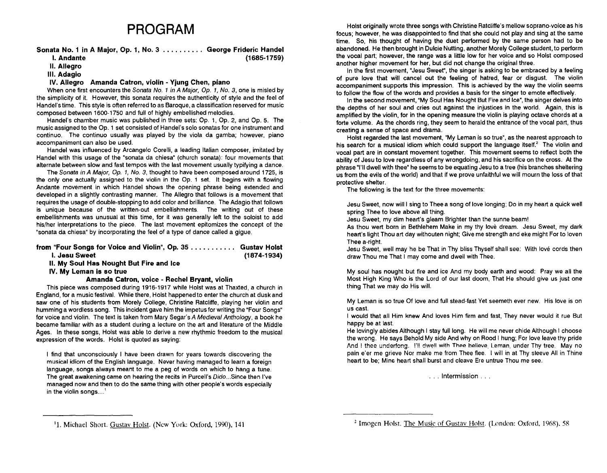# **PROGRAM**

### Sonata No.1 in A Major, Op. 1, No.3. . . . . . . . .. George Frideric Handel  $(1685 - 1759)$

### II. Allegro

### III. Adagio

### IV. Allegro Amanda Catron, violin - Yjung Chen, piano

When one first encounters the Sonata No. 1 in A Major, Op. 1, No. 3, one is misled by the simplicity of it. However, this sonata requires the authenticity of style and the feel of Handel's time. This style is often referred to as Baroque, a classification reserved for music composed between 1600-1750 and full of highly embellished melodies.

Handel's chamber music was published in three sets: Op. 1, Op. 2, and Op. 5. The music assigned to the Op. 1 set consisted of Handel's solo sonatas for one instrument and continuo. The continuo usually was played by the viola da gamba; however, piano accompaniment can also be used.

Handel was influenced by Arcangelo Corelli, a leading Italian composer, imitated by Handel with this usage of the "sonata da chiesa" (church sonata): four movements that alternate between slow and fast tempos with the last movement usually typifying a dance.

The Sonata in A Major, Op. 1, No.3, thought to have been composed around 1725, is the only one actually assigned to the violin in the Op. 1 set. It begins with a flowing Andante movement in which Handel shows the opening phrase being extended and developed in a slightly contrasting manner. The Allegro that follows is a movement that requires the usage of double-stopping to add color and brilliance. The Adagio that follows is unique because of the written-out embellishments. The writing out of these embellishments was unusual at this time, for it was generally left to the soloist to add his/her interpretations to the piece. The last movement epitomizes the concept of the "sonata da chiesa" by incorporating the feel of a type of dance called a gigue.

| from "Four Songs for Voice and Violin", Op. 35   Gustav Holst |             |
|---------------------------------------------------------------|-------------|
| I. Jesu Sweet                                                 | (1874-1934) |

II. My Soul Has Nought But Fire and Ice

IV. My Leman is so true

Amanda Catron, voice - Rechel Bryant, violin

This piece was composed during 1916-1917 while Holst was at Thaxted, a church in England, for a music festival. While there, Holst happened to enter the church at dusk and saw one of his students from Morely College, Christine Ratcliffe, playing her violin and humming a wordless song. This incident gave him the impetus for writing the "Four Songs" for voice and violin. The text is taken from Mary Segar's A Medieval Anthology, a book he became familiar with as a student during a lecture on the art and literature of the Middle Ages. In these songs, Holst was able to derive a new rhythmic freedom to the musical expression of the words. Holst is quoted as saying:

I find that unconsciously I have been drawn for years towards discovering the musical idiom of the English language. Never having managed to learn a foreign language, songs always meant to me a peg of words on which to hang a tune. The great awakening came on hearing the recits in Purcell's Dido... Since then I've managed now and then to do the same thing with other people's words especially in the violin songs....<sup>1</sup>

Holst originally wrote three songs with Christine Ratcliffe's mellow soprano-voice as his focus; however, he was disappointed to find that she could not play and sing at the same time. So, his thought of having the duet performed by the same person had to be abandoned. He then brought in Dulcie Nutting, another Morely College student, to perform the vocal part; however, the range was a little low for her voice and so Holst composed another higher movement for her, but did not change the original three.

In the first movement, "Jesu Sweet", the singer is asking to be embraced by a feeling of pure love that will cancel out the feeling of hatred, fear or disgust. The violin accompaniment supports this impression. This is achieved by the way the violin seems to follow the flow of the words and provides a basis for the singer to emote effectively.

In the second movement, "My Soul Has Nought But Fire and Ice", the singer delves into the depths of her soul and cries out against the injustices in the world. Again, this is amplified by the violin, for in the opening measure the violin is playing octave chords at a forte volume. As the chords ring, they seem to herald the entrance of the vocal part, thus creating a sense of space and drama.

Holst regarded the last movement, "My Leman is so true", as the nearest approach to his search for a musical idiom which could support the language itself.<sup>2</sup> The violin and vocal part are in constant movement together. This movement seems to reflect both the ability of Jesu to love regardless of any wrongdoing, and his sacrifice on the cross. At the phrase "I'll dwell with thee" he seems to be equating Jesu to a tree (his branches sheltering us from the evils of the world) and that if we prove unfaithful we will mourn the loss of that protective shelter.

The following is the text for the three movements:

Jesu Sweet, now willi sing to Thee a song of love longing; Do in my heart a quick well spring Thee to love above all thing.

Jesu Sweet, my dim heart's gleam Brighter than the sunne beam!

As thou wert born in Bethlehem Make in my thy love dream. Jesu Sweet, my dark heart's light Thou art day withouten night; Give me strength and eke might For to loven Thee a-right.

Jesu Sweet, well may he be That in Thy bliss Thyself shall see: With love cords then draw Thou me That I may come and dwell with Thee.

My soul has nought but fire and ice And my body earth and wood: Pray we all the Most High King Who is the Lord of our last doom, That He should give us just one thing That we may do His will.

My Leman is so true Of love and full stead-fast Yet seemeth ever new. His love is on us cast.

I would that all Him knew And loves Him firm and fast, They never would it rue But happy be at last.

He lovingly abides Although I stay full long. He will me never chide Although I choose the wrong. He says Behold My side And why on Rood I hung; For love leave thy pride And I thee underfong. I'll dwell with Thee believe. Leman, under Thy tree. May no pain e'er me grieve Nor make me from Thee flee. I will in at Thy sleeve All in Thine heart to be; Mine heart shall burst and cleave Ere untrue Thou me see.

. .. Intermission ...

<sup>&</sup>lt;sup>1</sup>1. Michael Short. Gustav Holst. (New York: Oxford, 1990), 141

<sup>&</sup>lt;sup>2</sup> Imogen Holst. The Music of Gustav Holst. (London: Oxford, 1968), 58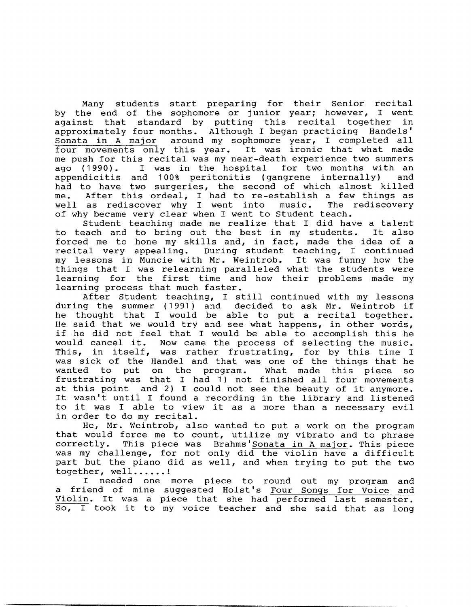Many students start preparing for their Senior recital by the end of the sophomore or junior year; however, I went against that standard by putting this recital together in approximately four months. Although I began practicing Handels' Sonata in A major around my sophomore year, I completed all four movements only this year. It was ironic that what made me push for this recital was my near-death experience two summers<br>ago (1990). I was in the hospital for two months with an I was in the hospital for two months with an<br>and 100% peritonitis (gangrene internally) and appendicitis and 100% peritonitis (gangrene internally) had to have two surgeries, the second of which almost killed me. After this ordeal, I had to re-establish a few things as<br>well as rediscover why I went into music. The rediscovery well as rediscover why I went into of why became very clear when I went to Student teach.

Student teaching made me realize that I did have a talent to teach and to bring out the best in my students. It also forced me to hone my skills and, in fact, made the idea of a recital very appealing. During student teaching, I continued my lessons in Muncie with Mr. Weintrob. It was funny how the things that I was relearning paralleled what the students were learning for the first time and how their problems made my learning process that much faster.

After Student teaching, I still continued with my lessons during the summer (1 991) and decided to ask Mr. Weintrob if he thought that I would be able to put a recital together. He said that we would try and see what happens, in other words, if he did not feel that I would be able to accomplish this he would cancel it. Now came the process of selecting the music. Now came the process of selecting the music. This, in itself, was rather frustrating, for by this time I was sick of the Handel and that was one of the things that he<br>wanted to put on the program. What made this piece so What made this piece so frustrating was that I had 1) not finished all four movements at this point and 2) I could not see the beauty of it anymore. It wasn't until I found a recording in the library and listened to it was I able to view it as a more than a necessary evil in order to do my recital.

He, Mr. Weintrob, also wanted to put a work on the program that would force me to count, utilize my vibrato and to phrase correctly. This piece was Brahms'Sonata in A major. This piece was my challenge, for not only did the violin have a difficult part but the piano did as well, and when trying to put the two together, well......!

I needed one more piece to round out my program and a friend of mine suggested Holst's Four Songs for Voice and a filend of mine suggested hoist's <u>four songs for voice and</u><br>Violin. It was a piece that she had performed last semester. So, I took it to my voice teacher and she said that as long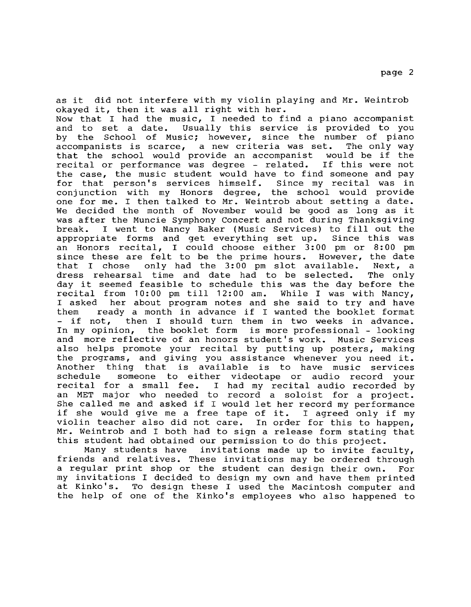as it did not interfere with my violin playing and Mr. Weintrob okayed it, then it was all right with her.

Now that I had the music, I needed to find a piano accompanist<br>and to set a date. Usually this service is provided to you Usually this service is provided to you by the School of Music; however, since the number of piano accompanists is scarce, a new criteria was set. The only way accompanists is scarce, a new criteria was set. The only way<br>that the school would provide an accompanist would be if the that the school would provide an accompanist would be if the recital or performance was degree - related. the case, the music student would have to find someone and pay<br>for that person's services himself. Since my recital was in for that person's services himself. conjunction with my Honors degree, the school would provide one for me. I then talked to Mr. Weintrob about setting a date. We decided the month of November would be good as long as it was after the Muncie Symphony Concert and not during Thanksgiving<br>break. I went to Nancy Baker (Music Services) to fill out the I went to Nancy Baker (Music Services) to fill out the<br>ate forms and get everything set up. Since this was appropriate forms and get everything set up. an Honors recital, I could choose either 3:00 pm or 8:00 pm<br>since these are felt to be the prime hours. However, the date since these are felt to be the prime hours. However, the date<br>that I chose only had the 3:00 pm slot available. Next, a only had the 3:00 pm slot available. Next, a<br>time and date had to be selected. The only dress rehearsal time and date had to be selected. day it seemed feasible to schedule this was the day before the<br>recital from 10:00 pm till 12:00 am. While I was with Nancy, recital from 10:00 pm till 12:00 am.<br>I asked her about program notes and I asked her about program notes and she said to try and have<br>them seady a month in advance if I wanted the booklet format them ready a month in advance if I wanted the booklet format<br>- if not, then I should turn them in two weeks in advance. then I should turn them in two weeks in advance. In my opinion, the booklet form is more professional - looking and more reflective of an honors student's work. Music Services also helps promote your recital by putting up posters, making the programs, and giving you assistance whenever you need it. Another thing that is available is to have music services schedule someone to either videotape or audio record your<br>recital for a small fee. I had my recital audio recorded by I had my recital audio recorded by an MET major who needed to record a soloist for a project. She called me and asked if I would let her record my performance if she would give me a free tape of it. I agreed only if my if she would give me a free tape of it. I agreed only if my<br>violin teacher also did not care. In order for this to happen, violin teacher also did not care. Mr. Weintrob and I both had to sign a release form stating that

this student had obtained our permission to do this project.<br>Many students have invitations made up to invite fac invitations made up to invite faculty, friends and relatives. These invitations may be ordered through a regular print shop or the student can design their own. For my invitations I decided to design my own and have them printed<br>at Kinko's. To design these I used the Macintosh computer and To design these I used the Macintosh computer and the help of one of the Kinko's employees who also happened to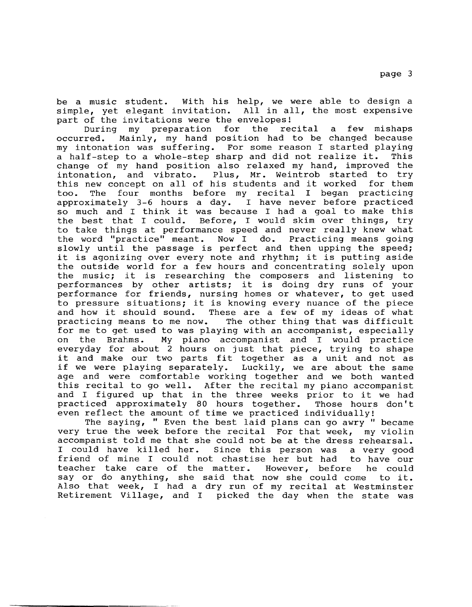be a music student. With his help, we were able to design a simple, yet elegant invitation. All in all, the most expensive part of the invitations were the envelopes!

During my preparation for the recital a few mishaps<br>occurred. Mainly, my hand position had to be changed because Mainly, my hand position had to be changed because my intonation was suffering. For some reason I started playing<br>a half-step to a whole-step sharp and did not realize it. This a half-step to a whole-step sharp and did not realize it. change of my hand position also relaxed my hand, improved the intonation, and vibrato. Plus, Mr. Weintrob started to try<br>this new concept on all of his students and it worked for them this new concept on all of his students and it worked<br>too. The four months before my recital I began p The four months before my recital I began practicing approximately 3-6 hours a day. I have never before practiced so much and I think it was because I had a goal to make this<br>the best that I could. Before, I would skim over things, try Before, I would skim over things, try to take things at performance speed and never really knew what<br>the word "practice" meant. Now I do. Practicing means going the word "practice" meant. Now I do. slowly until the passage is perfect and then upping the speed; it is agonizing over every note and rhythm; it is putting aside the outside world for a few hours and concentrating solely upon the music; it is researching the composers and listening to performances by other artists; it is doing dry runs of your performance for friends, nursing homes or whatever, to get used to pressure situations; it is knowing every nuance of the piece and how it should sound. These are a few of my ideas of what practicing means to me now. The other thing that was difficult for me to get used to was playing with an accompanist, especially<br>on the Brahms. My piano accompanist and I would practice on the Brahms. My piano accompanist and I would practice everyday for about 2 hours on just that piece, trying to shape it and make our two parts fit together as a unit and not as<br>if we were playing separately. Luckily, we are about the same Luckily, we are about the same age and were comfortable working together and we both wanted this recital to go well. After the recital my piano accompanist and I figured up that in the three weeks prior to it we had practiced approximately 80 hours together. Those hours don't even reflect the amount of time we practiced individually!

The saying, " Even the best laid plans can go awry " became very true the week before the recital For that week, my violin accompanist told me that she could not be at the dress rehearsal. I could have killed her. Since this person was a very good friend of mine I could not chastise her but had to have our teacher take care of the matter. However, before he could say or do anything, she said that now she could come to it. Also that week, I had a dry run of my recital at Westminster Retirement Village, and I picked the day when the state was